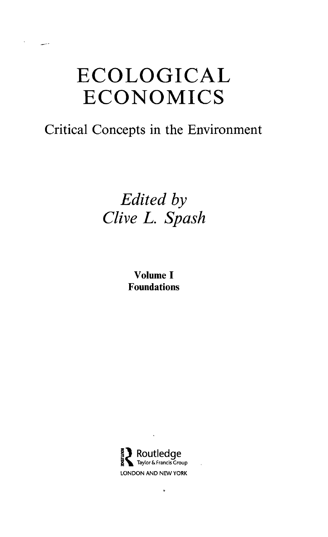# ECOLOGICAL ECONOMICS

### Critical Concepts in the Environment

## *Edited by Clive L. Spash*

Volume I Foundations



 $\ddot{\phantom{0}}$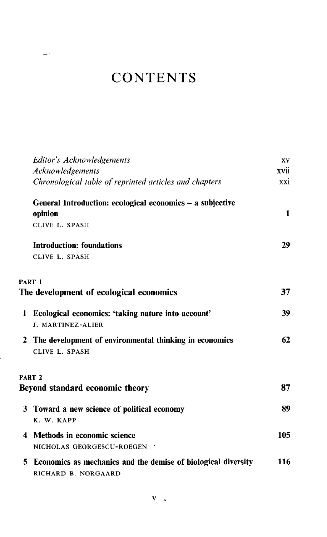|              | Editor's Acknowledgements<br>Acknowledgements                                        | XV.<br>xvii  |
|--------------|--------------------------------------------------------------------------------------|--------------|
|              | Chronological table of reprinted articles and chapters                               | xxi          |
|              | General Introduction: ecological economics - a subjective                            |              |
|              | opinion                                                                              | $\mathbf{1}$ |
|              | CLIVE L. SPASH                                                                       |              |
|              | <b>Introduction: foundations</b>                                                     | 29           |
|              | CLIVE L. SPASH                                                                       |              |
|              | PART <sub>1</sub>                                                                    |              |
|              | The development of ecological economics                                              | 37           |
| 1            | Ecological economics: 'taking nature into account'<br>J. MARTINEZ-ALIER              | 39           |
| $\mathbf{2}$ | The development of environmental thinking in economics<br>CLIVE L. SPASH             | 62           |
|              | PART <sub>2</sub>                                                                    |              |
|              | Beyond standard economic theory                                                      | 87           |
|              | 3 Toward a new science of political economy<br>K. W. KAPP                            | 89           |
| 4            | Methods in economic science<br>NICHOLAS GEORGESCU-ROEGEN                             | 105          |
| 5.           | Economics as mechanics and the demise of biological diversity<br>RICHARD B. NORGAARD | 116          |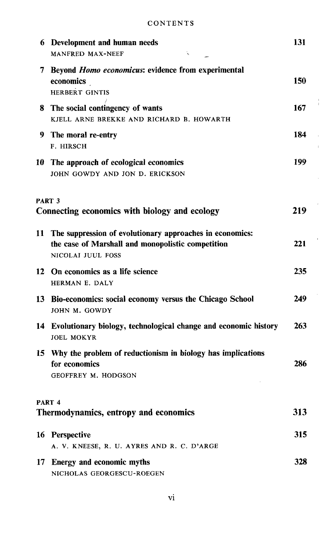|    | 6 Development and human needs<br>MANFRED MAX-NEEF                                                                                  | 131  |
|----|------------------------------------------------------------------------------------------------------------------------------------|------|
| 7  | Beyond <i>Homo economicus</i> : evidence from experimental<br>economics<br><b>HERBERT GINTIS</b>                                   | 150  |
| 8. | The social contingency of wants<br>KJELL ARNE BREKKE AND RICHARD B. HOWARTH                                                        | 167  |
| 9. | The moral re-entry<br>F. HIRSCH                                                                                                    | 184  |
| 10 | The approach of ecological economics<br>JOHN GOWDY AND JON D. ERICKSON                                                             | 199  |
|    | PART <sub>3</sub><br>Connecting economics with biology and ecology                                                                 | 219  |
| 11 | The suppression of evolutionary approaches in economics:<br>the case of Marshall and monopolistic competition<br>NICOLAI JUUL FOSS | 221  |
|    | 12 On economics as a life science<br>HERMAN E. DALY                                                                                | 235. |
|    | 13 Bio-economics: social economy versus the Chicago School<br>JOHN M. GOWDY                                                        | 249  |
|    | 14 Evolutionary biology, technological change and economic history<br><b>JOEL MOKYR</b>                                            | 263  |
|    | 15 Why the problem of reductionism in biology has implications<br>for economics<br>GEOFFREY M. HODGSON                             | 286  |
|    | PART 4<br>Thermodynamics, entropy and economics                                                                                    | 313  |
|    | 16 Perspective<br>A. V. KNEESE, R. U. AYRES AND R. C. D'ARGE                                                                       | 315  |
|    | 17 Energy and economic myths<br>NICHOLAS GEORGESCU-ROEGEN                                                                          | 328  |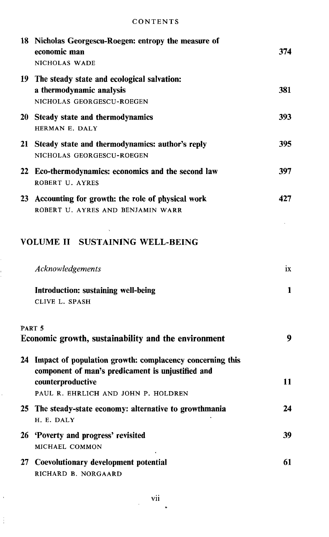|    | 18 Nicholas Georgescu-Roegen: entropy the measure of<br>economic man<br>NICHOLAS WADE                                                                                        | 374 |
|----|------------------------------------------------------------------------------------------------------------------------------------------------------------------------------|-----|
|    | 19 The steady state and ecological salvation:<br>a thermodynamic analysis<br>NICHOLAS GEORGESCU-ROEGEN                                                                       | 381 |
|    | 20 Steady state and thermodynamics<br>HERMAN E. DALY                                                                                                                         | 393 |
| 21 | Steady state and thermodynamics: author's reply<br>NICHOLAS GEORGESCU-ROEGEN                                                                                                 | 395 |
| 22 | Eco-thermodynamics: economics and the second law<br>ROBERT U. AYRES                                                                                                          | 397 |
| 23 | Accounting for growth: the role of physical work<br>ROBERT U. AYRES AND BENJAMIN WARR                                                                                        | 427 |
|    | <b>VOLUME II SUSTAINING WELL-BEING</b>                                                                                                                                       |     |
|    | Acknowledgements                                                                                                                                                             | ix  |
|    | Introduction: sustaining well-being<br>CLIVE L. SPASH                                                                                                                        | 1   |
|    | PART 5<br>Economic growth, sustainability and the environment                                                                                                                | 9   |
|    | 24 Impact of population growth: complacency concerning this<br>component of man's predicament is unjustified and<br>counterproductive<br>PAUL R. EHRLICH AND JOHN P. HOLDREN | 11  |
|    | 25 The steady-state economy: alternative to growthmania<br>H. E. DALY                                                                                                        | 24  |
|    | 26 'Poverty and progress' revisited<br>MICHAEL COMMON                                                                                                                        | 39  |
|    | 27 Coevolutionary development potential<br>RICHARD B. NORGAARD                                                                                                               | 61  |

 $\frac{1}{2}$ 

 $\frac{1}{4}$ 

 $\ddot{\phantom{0}}$ 

 $\frac{1}{2}$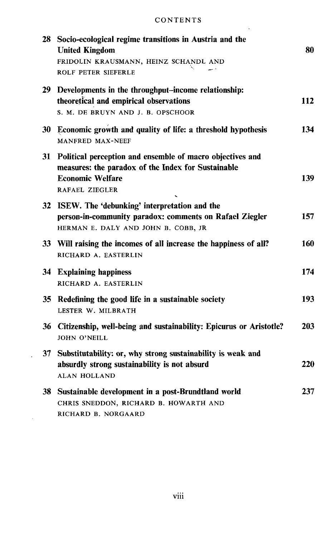$\Delta\sim 1$ 

|    | 28 Socio-ecological regime transitions in Austria and the<br><b>United Kingdom</b><br>FRIDOLIN KRAUSMANN, HEINZ SCHANDL AND<br><b>ROLF PETER SIEFERLE</b>       | 80  |
|----|-----------------------------------------------------------------------------------------------------------------------------------------------------------------|-----|
|    | 29 Developments in the throughput-income relationship:<br>theoretical and empirical observations<br>S. M. DE BRUYN AND J. B. OPSCHOOR                           | 112 |
|    | 30 Economic growth and quality of life: a threshold hypothesis<br><b>MANFRED MAX-NEEF</b>                                                                       | 134 |
|    | 31 Political perception and ensemble of macro objectives and<br>measures: the paradox of the Index for Sustainable<br><b>Economic Welfare</b><br>RAFAEL ZIEGLER | 139 |
|    | 32 ISEW. The 'debunking' interpretation and the<br>person-in-community paradox: comments on Rafael Ziegler<br>HERMAN E. DALY AND JOHN B. COBB, JR               | 157 |
|    | 33 Will raising the incomes of all increase the happiness of all?<br>RICHARD A. EASTERLIN                                                                       | 160 |
|    | 34 Explaining happiness<br>RICHARD A. EASTERLIN                                                                                                                 | 174 |
|    | 35 Redefining the good life in a sustainable society<br>LESTER W. MILBRATH                                                                                      | 193 |
|    | 36 Citizenship, well-being and sustainability: Epicurus or Aristotle?<br><b>JOHN O'NEILL</b>                                                                    | 203 |
|    | 37 Substitutability: or, why strong sustainability is weak and<br>absurdly strong sustainability is not absurd<br><b>ALAN HOLLAND</b>                           | 220 |
| 38 | Sustainable development in a post-Brundtland world<br>CHRIS SNEDDON, RICHARD B. HOWARTH AND<br>RICHARD B. NORGAARD                                              | 237 |

 $\sim$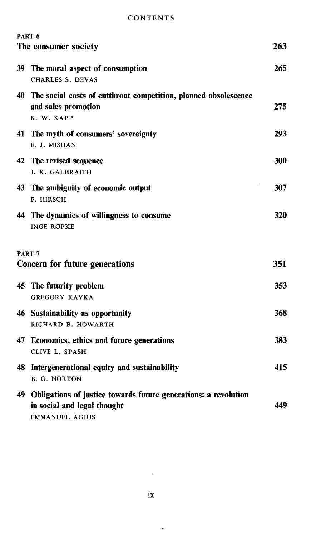| PART 6<br>The consumer society           |                                                                                                                            | 263 |
|------------------------------------------|----------------------------------------------------------------------------------------------------------------------------|-----|
| 39                                       | The moral aspect of consumption<br><b>CHARLES S. DEVAS</b>                                                                 | 265 |
| 40                                       | The social costs of cutthroat competition, planned obsolescence<br>and sales promotion<br>K. W. KAPP                       | 275 |
| 41                                       | The myth of consumers' sovereignty<br>E. J. MISHAN                                                                         | 293 |
|                                          | 42 The revised sequence<br>J. K. GALBRAITH                                                                                 | 300 |
| 43                                       | The ambiguity of economic output<br>F. HIRSCH                                                                              | 307 |
| 44                                       | The dynamics of willingness to consume<br><b>INGE RØPKE</b>                                                                | 320 |
| PART 7<br>Concern for future generations |                                                                                                                            | 351 |
| 45                                       | The futurity problem<br><b>GREGORY KAVKA</b>                                                                               | 353 |
|                                          | 46 Sustainability as opportunity<br>RICHARD B. HOWARTH                                                                     | 368 |
| 47.                                      | Economics, ethics and future generations<br>CLIVE L. SPASH                                                                 | 383 |
| 48                                       | Intergenerational equity and sustainability<br><b>B. G. NORTON</b>                                                         | 415 |
|                                          | 49 Obligations of justice towards future generations: a revolution<br>in social and legal thought<br><b>EMMANUEL AGIUS</b> | 449 |

 $\ddot{\phantom{0}}$ 

 $\mathcal{A}$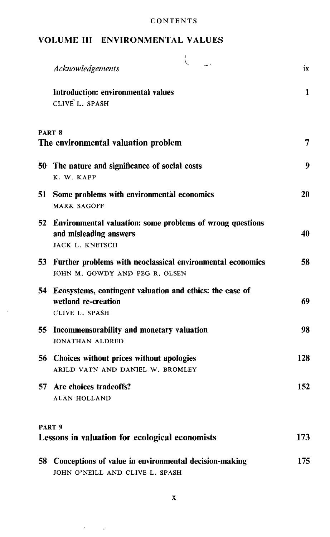#### VOLUME III ENVIRONMENTAL VALUES

|     | Acknowledgements                                                                                       | ix  |
|-----|--------------------------------------------------------------------------------------------------------|-----|
|     | Introduction: environmental values<br>CLIVE L. SPASH                                                   | 1   |
|     | PART <sup>8</sup><br>The environmental valuation problem                                               | 7   |
| 50. | The nature and significance of social costs<br>K. W. KAPP                                              | 9   |
|     | 51 Some problems with environmental economics<br><b>MARK SAGOFF</b>                                    | 20  |
| 52. | Environmental valuation: some problems of wrong questions<br>and misleading answers<br>JACK L. KNETSCH | 40  |
|     | 53 Further problems with neoclassical environmental economics<br>JOHN M. GOWDY AND PEG R. OLSEN        | 58  |
|     | 54 Ecosystems, contingent valuation and ethics: the case of<br>wetland re-creation<br>CLIVE L. SPASH   | 69  |
|     | 55 Incommensurability and monetary valuation<br><b>JONATHAN ALDRED</b>                                 | 98  |
|     | 56 Choices without prices without apologies<br>ARILD VATN AND DANIEL W. BROMLEY                        | 128 |
|     | 57 Are choices tradeoffs?<br><b>ALAN HOLLAND</b>                                                       | 152 |
|     | PART <sub>9</sub><br>Lessons in valuation for ecological economists                                    | 173 |
|     | 58 Conceptions of value in environmental decision-making<br>JOHN O'NEILL AND CLIVE L. SPASH            | 175 |

 $\bar{z}$ 

 $\mathcal{A}^{\text{max}}_{\text{max}}$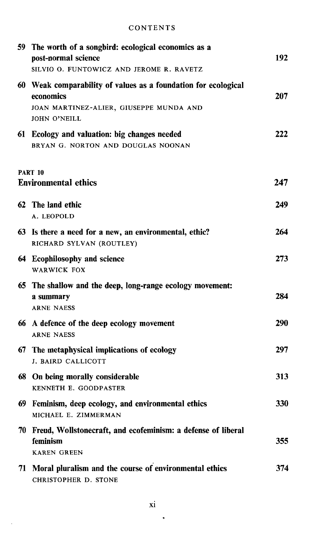|     | 59 The worth of a songbird: ecological economics as a<br>post-normal science<br>SILVIO O. FUNTOWICZ AND JEROME R. RAVETZ                      | 192 |
|-----|-----------------------------------------------------------------------------------------------------------------------------------------------|-----|
|     | 60 Weak comparability of values as a foundation for ecological<br>economics<br>JOAN MARTINEZ-ALIER, GIUSEPPE MUNDA AND<br><b>JOHN O'NEILL</b> | 207 |
|     | 61 Ecology and valuation: big changes needed<br>BRYAN G. NORTON AND DOUGLAS NOONAN                                                            | 222 |
|     | <b>PART 10</b><br><b>Environmental ethics</b>                                                                                                 | 247 |
|     | 62 The land ethic<br>A. LEOPOLD                                                                                                               | 249 |
|     | 63 Is there a need for a new, an environmental, ethic?<br>RICHARD SYLVAN (ROUTLEY)                                                            | 264 |
|     | 64 Ecophilosophy and science<br><b>WARWICK FOX</b>                                                                                            | 273 |
|     | 65 The shallow and the deep, long-range ecology movement:<br>a summary<br><b>ARNE NAESS</b>                                                   | 284 |
|     | 66 A defence of the deep ecology movement<br><b>ARNE NAESS</b>                                                                                | 290 |
| 67. | The metaphysical implications of ecology<br>J. BAIRD CALLICOTT                                                                                | 297 |
|     | 68 On being morally considerable<br>KENNETH E. GOODPASTER                                                                                     | 313 |
|     | 69 Feminism, deep ecology, and environmental ethics<br>MICHAEL E. ZIMMERMAN                                                                   | 330 |
|     | 70 Freud, Wollstonecraft, and ecofeminism: a defense of liberal<br>feminism<br><b>KAREN GREEN</b>                                             | 355 |
|     | 71 Moral pluralism and the course of environmental ethics<br>CHRISTOPHER D. STONE                                                             | 374 |

 $\cdot$ 

þ,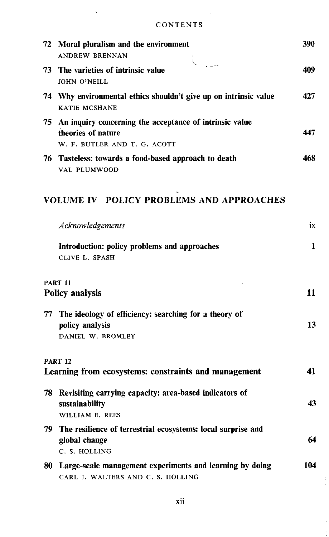$\bar{\mathbf{v}}$ 

| 72. | Moral pluralism and the environment<br><b>ANDREW BRENNAN</b>                                                  | 390 |
|-----|---------------------------------------------------------------------------------------------------------------|-----|
|     | L<br>73 The varieties of intrinsic value<br><b>JOHN O'NEILL</b>                                               | 409 |
|     | 74 Why environmental ethics shouldn't give up on intrinsic value<br>KATIE MCSHANE                             | 427 |
| 75. | An inquiry concerning the acceptance of intrinsic value<br>theories of nature<br>W. F. BUTLER AND T. G. ACOTT | 447 |
|     | 76 Tasteless: towards a food-based approach to death<br><b>VAL PLUMWOOD</b>                                   | 468 |
|     | VOLUME IV POLICY PROBLEMS AND APPROACHES                                                                      |     |
|     | Acknowledgements                                                                                              | ix  |
|     | Introduction: policy problems and approaches<br>CLIVE L. SPASH                                                | 1   |
|     | <b>PART 11</b><br><b>Policy analysis</b>                                                                      | 11  |
| 77  | The ideology of efficiency: searching for a theory of<br>policy analysis<br>DANIEL W. BROMLEY                 | 13  |
|     | <b>PART 12</b><br>Learning from ecosystems: constraints and management                                        | 41  |
|     | 78 Revisiting carrying capacity: area-based indicators of<br>sustainability<br>WILLIAM E. REES                | 43  |
| 79. | The resilience of terrestrial ecosystems: local surprise and<br>global change<br>C. S. HOLLING                | 64  |
| 80  | Large-scale management experiments and learning by doing<br>CARL J. WALTERS AND C. S. HOLLING                 | 104 |

 $\frac{1}{2}$ 

ř,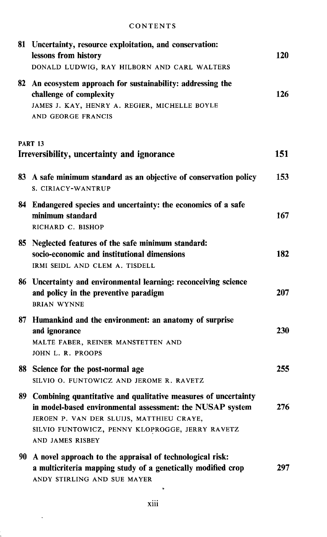|     | 81 Uncertainty, resource exploitation, and conservation:<br>lessons from history<br>DONALD LUDWIG, RAY HILBORN AND CARL WALTERS                                                                                                                 | 120 |
|-----|-------------------------------------------------------------------------------------------------------------------------------------------------------------------------------------------------------------------------------------------------|-----|
| 82  | An ecosystem approach for sustainability: addressing the<br>challenge of complexity<br>JAMES J. KAY, HENRY A. REGIER, MICHELLE BOYLE<br>AND GEORGE FRANCIS                                                                                      | 126 |
|     | <b>PART 13</b><br>Irreversibility, uncertainty and ignorance                                                                                                                                                                                    | 151 |
|     | 83 A safe minimum standard as an objective of conservation policy<br>S. CIRIACY-WANTRUP                                                                                                                                                         | 153 |
|     | 84 Endangered species and uncertainty: the economics of a safe<br>minimum standard<br>RICHARD C. BISHOP                                                                                                                                         | 167 |
| 85. | Neglected features of the safe minimum standard:<br>socio-economic and institutional dimensions<br>IRMI SEIDL AND CLEM A. TISDELL                                                                                                               | 182 |
|     | 86 Uncertainty and environmental learning: reconceiving science<br>and policy in the preventive paradigm<br><b>BRIAN WYNNE</b>                                                                                                                  | 207 |
|     | 87 Humankind and the environment: an anatomy of surprise<br>and ignorance<br>MALTE FABER, REINER MANSTETTEN AND<br>JOHN L. R. PROOPS                                                                                                            | 230 |
|     | 88 Science for the post-normal age<br>SILVIO O. FUNTOWICZ AND JEROME R. RAVETZ                                                                                                                                                                  | 255 |
| 89  | Combining quantitative and qualitative measures of uncertainty<br>in model-based environmental assessment: the NUSAP system<br>JEROEN P. VAN DER SLUIJS, MATTHIEU CRAYE,<br>SILVIO FUNTOWICZ, PENNY KLOPROGGE, JERRY RAVETZ<br>AND JAMES RISBEY | 276 |
| 90  | A novel approach to the appraisal of technological risk:<br>a multicriteria mapping study of a genetically modified crop<br>ANDY STIRLING AND SUE MAYER<br>D                                                                                    | 297 |

 $\ddot{\phantom{a}}$ 

i.